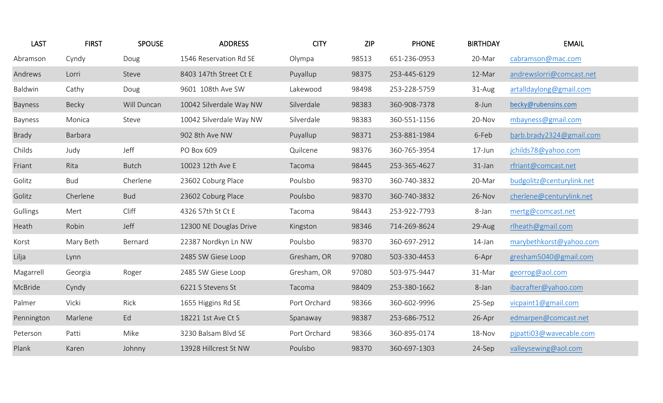| <b>LAST</b> | <b>FIRST</b> | <b>SPOUSE</b> | <b>ADDRESS</b>          | <b>CITY</b>  | <b>ZIP</b> | <b>PHONE</b> | <b>BIRTHDAY</b> | <b>EMAIL</b>              |
|-------------|--------------|---------------|-------------------------|--------------|------------|--------------|-----------------|---------------------------|
| Abramson    | Cyndy        | Doug          | 1546 Reservation Rd SE  | Olympa       | 98513      | 651-236-0953 | 20-Mar          | cabramson@mac.com         |
| Andrews     | Lorri        | Steve         | 8403 147th Street Ct E  | Puyallup     | 98375      | 253-445-6129 | 12-Mar          | andrewslorri@comcast.net  |
| Baldwin     | Cathy        | Doug          | 9601 108th Ave SW       | Lakewood     | 98498      | 253-228-5759 | 31-Aug          | artalldaylong@gmail.com   |
| Bayness     | Becky        | Will Duncan   | 10042 Silverdale Way NW | Silverdale   | 98383      | 360-908-7378 | 8-Jun           | becky@rubensins.com       |
| Bayness     | Monica       | Steve         | 10042 Silverdale Way NW | Silverdale   | 98383      | 360-551-1156 | 20-Nov          | mbayness@gmail.com        |
| Brady       | Barbara      |               | 902 8th Ave NW          | Puyallup     | 98371      | 253-881-1984 | 6-Feb           | barb.brady2324@gmail.com  |
| Childs      | Judy         | Jeff          | PO Box 609              | Quilcene     | 98376      | 360-765-3954 | $17 - Jun$      | jchilds78@yahoo.com       |
| Friant      | Rita         | <b>Butch</b>  | 10023 12th Ave E        | Tacoma       | 98445      | 253-365-4627 | 31-Jan          | rfriant@comcast.net       |
| Golitz      | <b>Bud</b>   | Cherlene      | 23602 Coburg Place      | Poulsbo      | 98370      | 360-740-3832 | 20-Mar          | budgolitz@centurylink.net |
| Golitz      | Cherlene     | <b>Bud</b>    | 23602 Coburg Place      | Poulsbo      | 98370      | 360-740-3832 | 26-Nov          | cherlene@centurylink.net  |
| Gullings    | Mert         | Cliff         | 4326 57th St Ct E       | Tacoma       | 98443      | 253-922-7793 | 8-Jan           | mertg@comcast.net         |
| Heath       | Robin        | Jeff          | 12300 NE Douglas Drive  | Kingston     | 98346      | 714-269-8624 | 29-Aug          | rlheath@gmail.com         |
| Korst       | Mary Beth    | Bernard       | 22387 Nordkyn Ln NW     | Poulsbo      | 98370      | 360-697-2912 | 14-Jan          | marybethkorst@yahoo.com   |
| Lilja       | Lynn         |               | 2485 SW Giese Loop      | Gresham, OR  | 97080      | 503-330-4453 | 6-Apr           | gresham5040@gmail.com     |
| Magarrell   | Georgia      | Roger         | 2485 SW Giese Loop      | Gresham, OR  | 97080      | 503-975-9447 | 31-Mar          | georrog@aol.com           |
| McBride     | Cyndy        |               | 6221 S Stevens St       | Tacoma       | 98409      | 253-380-1662 | 8-Jan           | ibacrafter@yahoo.com      |
| Palmer      | Vicki        | Rick          | 1655 Higgins Rd SE      | Port Orchard | 98366      | 360-602-9996 | 25-Sep          | vicpaint1@gmail.com       |
| Pennington  | Marlene      | Ed            | 18221 1st Ave Ct S      | Spanaway     | 98387      | 253-686-7512 | 26-Apr          | edmarpen@comcast.net      |
| Peterson    | Patti        | Mike          | 3230 Balsam Blvd SE     | Port Orchard | 98366      | 360-895-0174 | 18-Nov          | pjpatti03@wavecable.com   |
| Plank       | Karen        | Johnny        | 13928 Hillcrest St NW   | Poulsbo      | 98370      | 360-697-1303 | 24-Sep          | valleysewing@aol.com      |